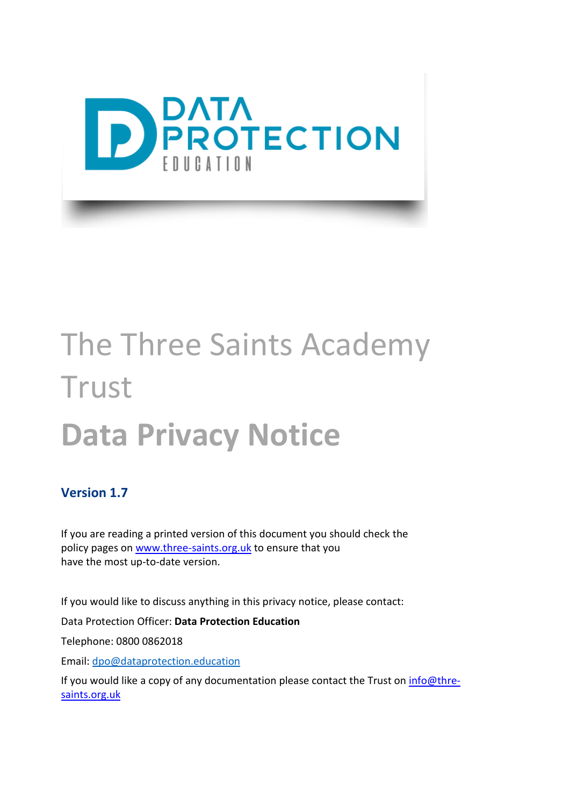

# The Three Saints Academy **Trust Data Privacy Notice**

#### **Version 1.7**

If you are reading a printed version of this document you should check the policy pages on [www.three-saints.org.uk](http://www.three-saints.org.uk/) to ensure that you have the most up-to-date version.

If you would like to discuss anything in this privacy notice, please contact:

Data Protection Officer: **Data Protection Education**

Telephone: 0800 0862018

Email: [dpo@dataprotection.education](mailto:dpo@dataprotection.education)

If you would like a copy of any documentation please contact the Trust on [info@thre](mailto:info@thre-saints.org.uk)[saints.org.uk](mailto:info@thre-saints.org.uk)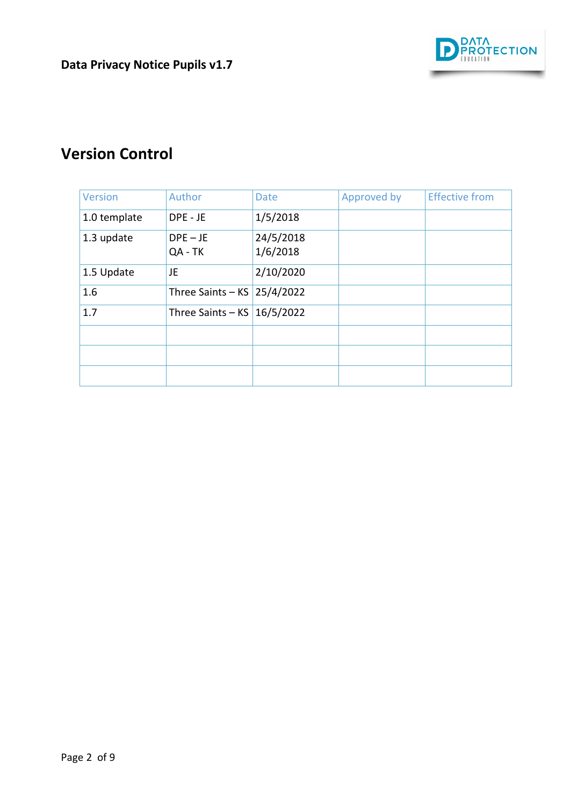

## **Version Control**

| <b>Version</b> | Author                | <b>Date</b>           | Approved by | <b>Effective from</b> |
|----------------|-----------------------|-----------------------|-------------|-----------------------|
| 1.0 template   | DPE - JE              | 1/5/2018              |             |                       |
| 1.3 update     | $DPE - JE$<br>QA - TK | 24/5/2018<br>1/6/2018 |             |                       |
| 1.5 Update     | JE                    | 2/10/2020             |             |                       |
| 1.6            | Three Saints $-$ KS   | 25/4/2022             |             |                       |
| 1.7            | Three Saints $-$ KS   | 16/5/2022             |             |                       |
|                |                       |                       |             |                       |
|                |                       |                       |             |                       |
|                |                       |                       |             |                       |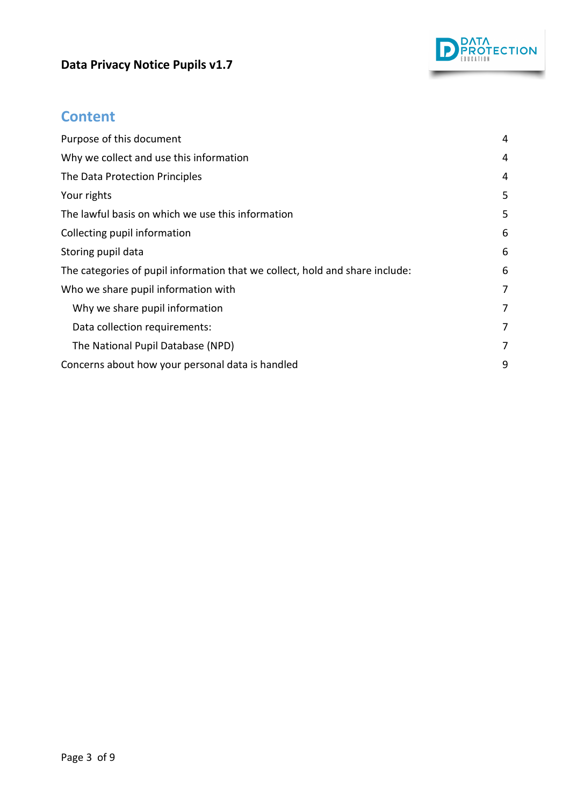## **Data Privacy Notice Pupils v1.7**



## **Content**

| Purpose of this document                                                     |   |  |
|------------------------------------------------------------------------------|---|--|
| Why we collect and use this information                                      |   |  |
| The Data Protection Principles                                               |   |  |
| Your rights                                                                  | 5 |  |
| The lawful basis on which we use this information                            |   |  |
| Collecting pupil information                                                 |   |  |
| Storing pupil data                                                           |   |  |
| The categories of pupil information that we collect, hold and share include: | 6 |  |
| Who we share pupil information with                                          |   |  |
| Why we share pupil information                                               | 7 |  |
| Data collection requirements:                                                | 7 |  |
| The National Pupil Database (NPD)                                            | 7 |  |
| Concerns about how your personal data is handled                             |   |  |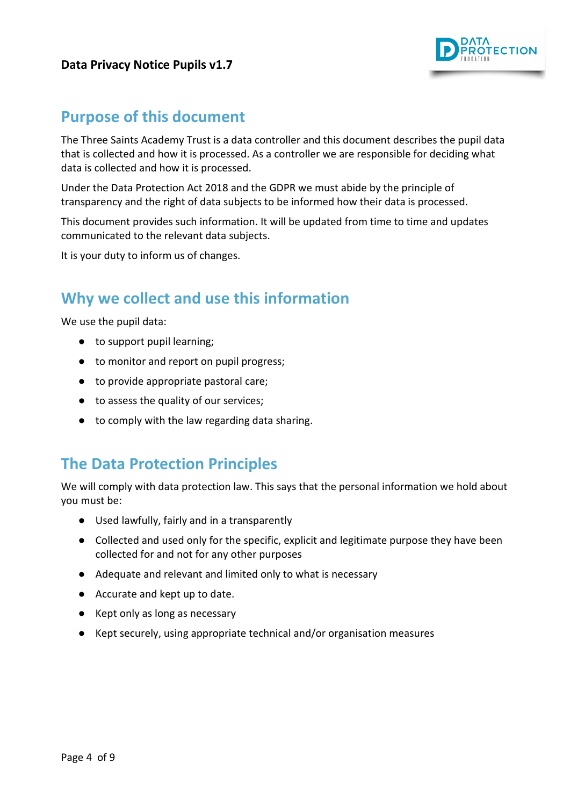#### **Data Privacy Notice Pupils v1.7**



## <span id="page-3-0"></span>**Purpose of this document**

The Three Saints Academy Trust is a data controller and this document describes the pupil data that is collected and how it is processed. As a controller we are responsible for deciding what data is collected and how it is processed.

Under the Data Protection Act 2018 and the GDPR we must abide by the principle of transparency and the right of data subjects to be informed how their data is processed.

This document provides such information. It will be updated from time to time and updates communicated to the relevant data subjects.

It is your duty to inform us of changes.

## <span id="page-3-1"></span>**Why we collect and use this information**

We use the pupil data:

- to support pupil learning;
- to monitor and report on pupil progress;
- to provide appropriate pastoral care;
- to assess the quality of our services;
- to comply with the law regarding data sharing.

## <span id="page-3-2"></span>**The Data Protection Principles**

We will comply with data protection law. This says that the personal information we hold about you must be:

- Used lawfully, fairly and in a transparently
- Collected and used only for the specific, explicit and legitimate purpose they have been collected for and not for any other purposes
- Adequate and relevant and limited only to what is necessary
- Accurate and kept up to date.
- Kept only as long as necessary
- Kept securely, using appropriate technical and/or organisation measures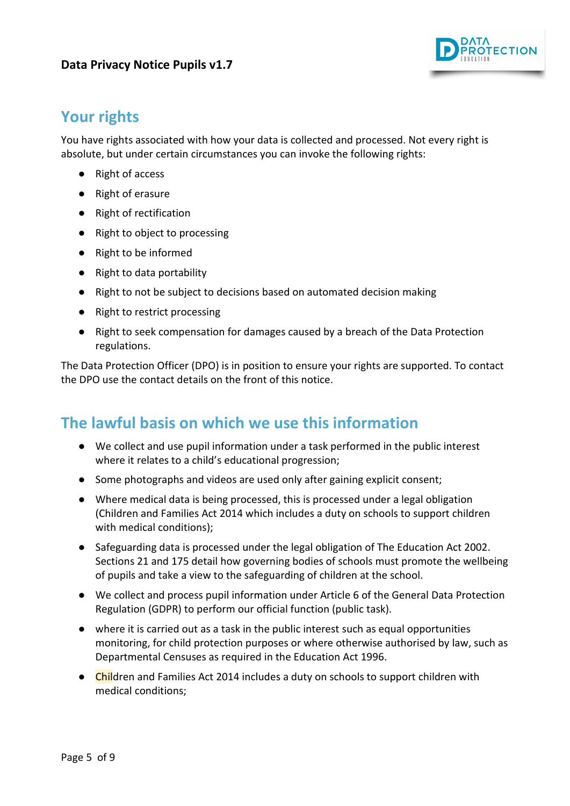

## <span id="page-4-0"></span>**Your rights**

You have rights associated with how your data is collected and processed. Not every right is absolute, but under certain circumstances you can invoke the following rights:

- Right of access
- Right of erasure
- Right of rectification
- Right to object to processing
- Right to be informed
- Right to data portability
- Right to not be subject to decisions based on automated decision making
- Right to restrict processing
- Right to seek compensation for damages caused by a breach of the Data Protection regulations.

The Data Protection Officer (DPO) is in position to ensure your rights are supported. To contact the DPO use the contact details on the front of this notice.

## <span id="page-4-1"></span>**The lawful basis on which we use this information**

- We collect and use pupil information under a task performed in the public interest where it relates to a child's educational progression;
- Some photographs and videos are used only after gaining explicit consent;
- Where medical data is being processed, this is processed under a legal obligation (Children and Families Act 2014 which includes a duty on schools to support children with medical conditions);
- Safeguarding data is processed under the legal obligation of The Education Act 2002. Sections 21 and 175 detail how governing bodies of schools must promote the wellbeing of pupils and take a view to the safeguarding of children at the school.
- We collect and process pupil information under Article 6 of the General Data Protection Regulation (GDPR) to perform our official function (public task).
- where it is carried out as a task in the public interest such as equal opportunities monitoring, for child protection purposes or where otherwise authorised by law, such as Departmental Censuses as required in the Education Act 1996.
- Children and Families Act 2014 includes a duty on schools to support children with medical conditions;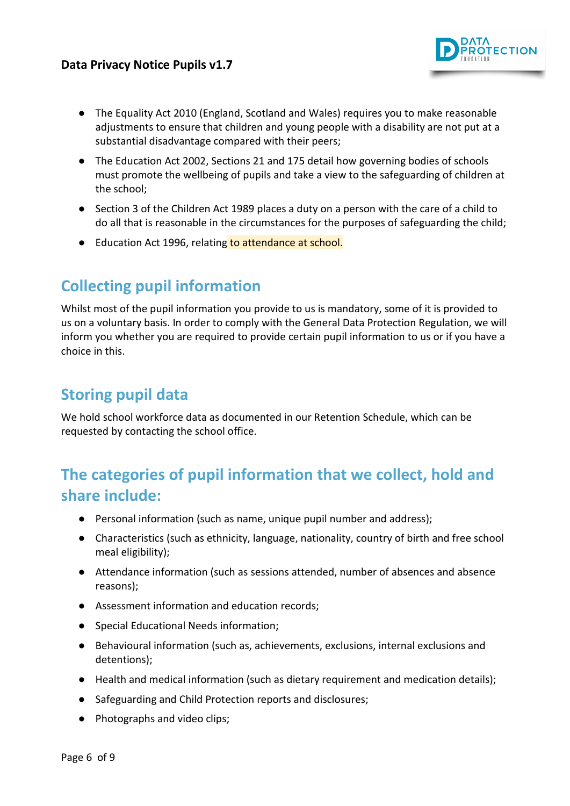

- The Equality Act 2010 (England, Scotland and Wales) requires you to make reasonable adjustments to ensure that children and young people with a disability are not put at a substantial disadvantage compared with their peers;
- The Education Act 2002, Sections 21 and 175 detail how governing bodies of schools must promote the wellbeing of pupils and take a view to the safeguarding of children at the school;
- Section 3 of the Children Act 1989 places a duty on a person with the care of a child to do all that is reasonable in the circumstances for the purposes of safeguarding the child;
- Education Act 1996, relating to attendance at school.

# <span id="page-5-0"></span>**Collecting pupil information**

Whilst most of the pupil information you provide to us is mandatory, some of it is provided to us on a voluntary basis. In order to comply with the General Data Protection Regulation, we will inform you whether you are required to provide certain pupil information to us or if you have a choice in this.

## <span id="page-5-1"></span>**Storing pupil data**

We hold school workforce data as documented in our Retention Schedule, which can be requested by contacting the school office.

# <span id="page-5-2"></span>**The categories of pupil information that we collect, hold and share include:**

- Personal information (such as name, unique pupil number and address);
- Characteristics (such as ethnicity, language, nationality, country of birth and free school meal eligibility);
- Attendance information (such as sessions attended, number of absences and absence reasons);
- Assessment information and education records;
- Special Educational Needs information;
- Behavioural information (such as, achievements, exclusions, internal exclusions and detentions);
- Health and medical information (such as dietary requirement and medication details);
- Safeguarding and Child Protection reports and disclosures;
- Photographs and video clips;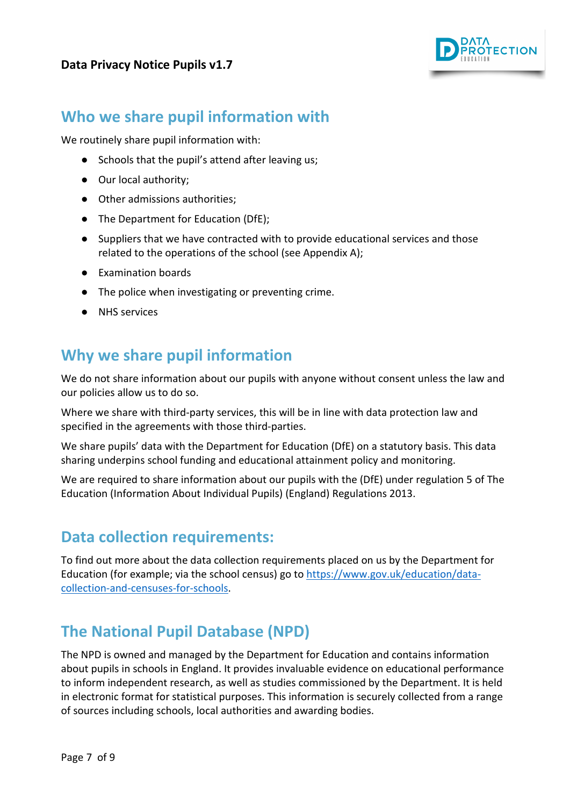

## <span id="page-6-0"></span>**Who we share pupil information with**

We routinely share pupil information with:

- Schools that the pupil's attend after leaving us;
- Our local authority:
- Other admissions authorities;
- The Department for Education (DfE);
- Suppliers that we have contracted with to provide educational services and those related to the operations of the school (see Appendix A);
- Examination boards
- The police when investigating or preventing crime.
- NHS services

## <span id="page-6-1"></span>**Why we share pupil information**

We do not share information about our pupils with anyone without consent unless the law and our policies allow us to do so.

Where we share with third-party services, this will be in line with data protection law and specified in the agreements with those third-parties.

We share pupils' data with the Department for Education (DfE) on a statutory basis. This data sharing underpins school funding and educational attainment policy and monitoring.

We are required to share information about our pupils with the (DfE) under regulation 5 of The Education (Information About Individual Pupils) (England) Regulations 2013.

## <span id="page-6-2"></span>**Data collection requirements:**

To find out more about the data collection requirements placed on us by the Department for Education (for example; via the school census) go to [https://www.gov.uk/education/data](https://www.gov.uk/education/data-collection-and-censuses-for-schools)[collection-and-censuses-for-schools.](https://www.gov.uk/education/data-collection-and-censuses-for-schools)

## <span id="page-6-3"></span>**The National Pupil Database (NPD)**

The NPD is owned and managed by the Department for Education and contains information about pupils in schools in England. It provides invaluable evidence on educational performance to inform independent research, as well as studies commissioned by the Department. It is held in electronic format for statistical purposes. This information is securely collected from a range of sources including schools, local authorities and awarding bodies.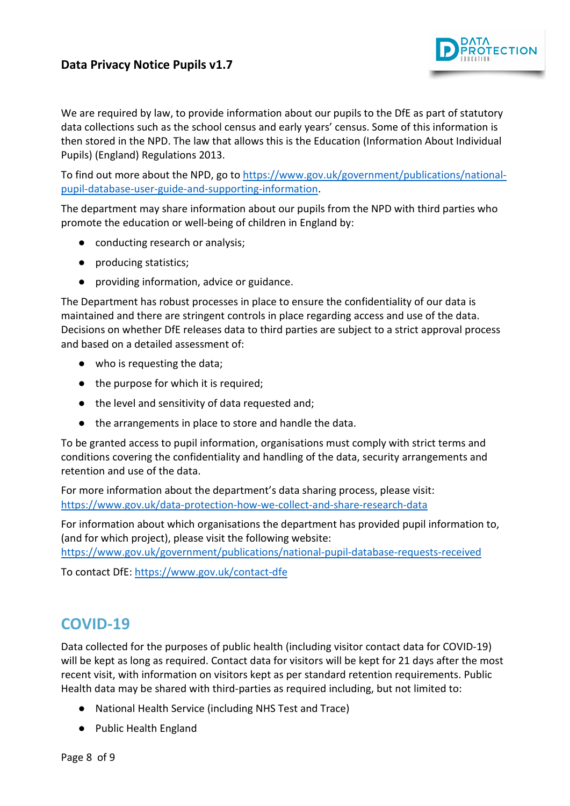#### **Data Privacy Notice Pupils v1.7**



We are required by law, to provide information about our pupils to the DfE as part of statutory data collections such as the school census and early years' census. Some of this information is then stored in the NPD. The law that allows this is the Education (Information About Individual Pupils) (England) Regulations 2013.

To find out more about the NPD, go t[o https://www.gov.uk/government/publications/national](https://www.gov.uk/government/publications/national-pupil-database-user-guide-and-supporting-information)[pupil-database-user-guide-and-supporting-information.](https://www.gov.uk/government/publications/national-pupil-database-user-guide-and-supporting-information)

The department may share information about our pupils from the NPD with third parties who promote the education or well-being of children in England by:

- conducting research or analysis;
- producing statistics;
- providing information, advice or guidance.

The Department has robust processes in place to ensure the confidentiality of our data is maintained and there are stringent controls in place regarding access and use of the data. Decisions on whether DfE releases data to third parties are subject to a strict approval process and based on a detailed assessment of:

- who is requesting the data;
- the purpose for which it is required;
- the level and sensitivity of data requested and;
- the arrangements in place to store and handle the data.

To be granted access to pupil information, organisations must comply with strict terms and conditions covering the confidentiality and handling of the data, security arrangements and retention and use of the data.

For more information about the department's data sharing process, please visit: <https://www.gov.uk/data-protection-how-we-collect-and-share-research-data>

For information about which organisations the department has provided pupil information to, (and for which project), please visit the following website:

<https://www.gov.uk/government/publications/national-pupil-database-requests-received>

To contact DfE[: https://www.gov.uk/contact-dfe](https://www.gov.uk/contact-dfe)

## **COVID-19**

Data collected for the purposes of public health (including visitor contact data for COVID-19) will be kept as long as required. Contact data for visitors will be kept for 21 days after the most recent visit, with information on visitors kept as per standard retention requirements. Public Health data may be shared with third-parties as required including, but not limited to:

- National Health Service (including NHS Test and Trace)
- Public Health England